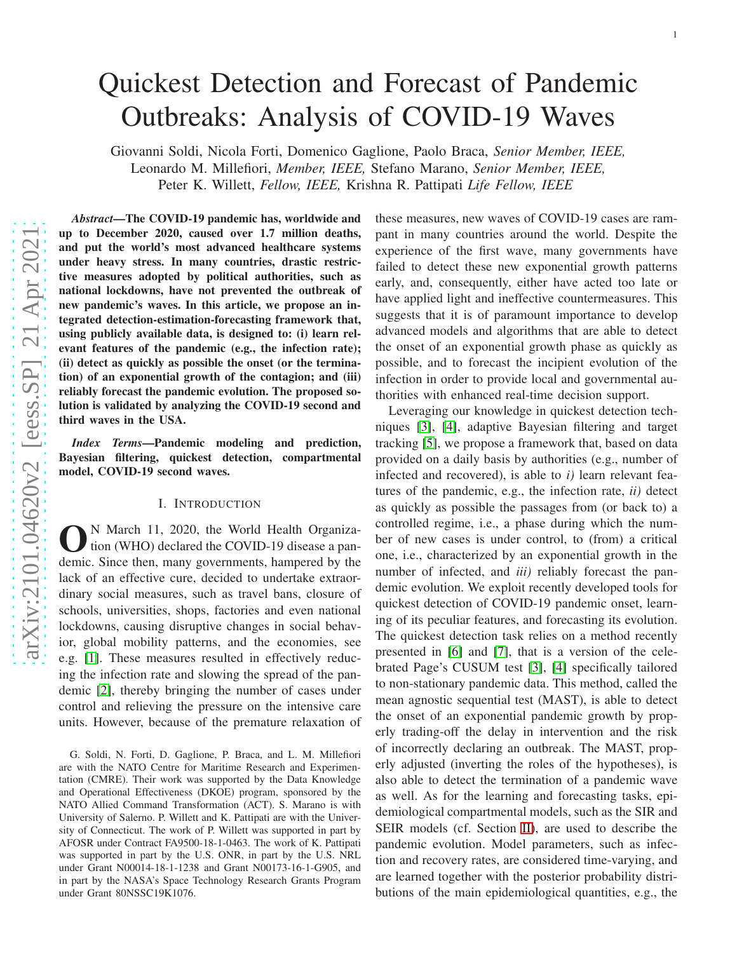# Quickest Detection and Forecast of Pandemic Outbreaks: Analysis of COVID-19 Waves

Giovanni Soldi, Nicola Forti, Domenico Gaglione, Paolo Braca, *Senior Member, IEEE,* Leonardo M. Millefiori, *Member, IEEE,* Stefano Marano, *Senior Member, IEEE,* Peter K. Willett, *Fellow, IEEE,* Krishna R. Pattipati *Life Fellow, IEEE*

*Abstract*—The COVID-19 pandemic has, worldwide and up to December 2020, caused over 1.7 million deaths, and put the world's most advanced healthcare systems under heavy stress. In many countries, drastic restrictive measures adopted by political authorities, such as national lockdowns, have not prevented the outbreak of new pandemic's waves. In this article, we propose an integrated detection-estimation-forecasting framework that, using publicly available data, is designed to: (i) learn rel evant features of the pandemic (e.g., the infection rate); (ii) detect as quickly as possible the onset (or the termination) of an exponential growth of the contagion; and (iii) reliably forecast the pandemic evolution. The proposed solution is validated by analyzing the COVID-19 second and third waves in the USA.

*Index Terms*—Pandemic modeling and prediction, Bayesian filtering, quickest detection, compartmental model, COVID-19 second waves.

# I. INTRODUCTION

**O**<sup>N</sup> March 11, 2020, the World Health Organization (WHO) declared the COVID-19 disease a pandemic. Since then, many governments, hampered by the N March 11, 2020, the World Health Organization (WHO) declared the COVID-19 disease a panlack of an effective cure, decided to undertake extraordinary social measures, such as travel bans, closure of schools, universities, shops, factories and even national lockdowns, causing disruptive changes in social behavior, global mobility patterns, and the economies, see e.g. [\[1\]](#page-6-0). These measures resulted in effectively reducing the infection rate and slowing the spread of the pandemic [\[2\]](#page-6-1), thereby bringing the number of cases under control and relieving the pressure on the intensive care units. However, because of the premature relaxation of these measures, new waves of COVID-19 cases are rampant in many countries around the world. Despite the experience of the first wave, many governments have failed to detect these new exponential growth patterns early, and, consequently, either have acted too late or have applied light and ineffective countermeasures. This suggests that it is of paramount importance to develop advanced models and algorithms that are able to detect the onset of an exponential growth phase as quickly as possible, and to forecast the incipient evolution of the infection in order to provide local and governmental authorities with enhanced real-time decision support.

Leveraging our knowledge in quickest detection techniques [\[3\]](#page-6-2), [\[4\]](#page-6-3), adaptive Bayesian filtering and target tracking [\[5\]](#page-6-4), we propose a framework that, based on data provided on a daily basis by authorities (e.g., number of infected and recovered), is able to *i)* learn relevant features of the pandemic, e.g., the infection rate, *ii)* detect as quickly as possible the passages from (or back to) a controlled regime, i.e., a phase during which the number of new cases is under control, to (from) a critical one, i.e., characterized by an exponential growth in the number of infected, and *iii)* reliably forecast the pandemic evolution. We exploit recently developed tools for quickest detection of COVID-19 pandemic onset, learning of its peculiar features, and forecasting its evolution. The quickest detection task relies on a method recently presented in [\[6\]](#page-6-5) and [\[7\]](#page-6-6), that is a version of the celebrated Page's CUSUM test [\[3\]](#page-6-2), [\[4\]](#page-6-3) specifically tailored to non-stationary pandemic data. This method, called the mean agnostic sequential test (MAST), is able to detect the onset of an exponential pandemic growth by properly trading-off the delay in intervention and the risk of incorrectly declaring an outbreak. The MAST, properly adjusted (inverting the roles of the hypotheses), is also able to detect the termination of a pandemic wave as well. As for the learning and forecasting tasks, epidemiological compartmental models, such as the SIR and SEIR models (cf. Section [II\)](#page-1-0), are used to describe the pandemic evolution. Model parameters, such as infection and recovery rates, are considered time-varying, and are learned together with the posterior probability distri butions of the main epidemiological quantities, e.g., the

G. Soldi, N. Forti, D. Gaglione, P. Braca, and L. M. Millefiori are with the NATO Centre for Maritime Research and Experimen tation (CMRE). Their work was supported by the Data Knowledg e and Operational Effectiveness (DKOE) program, sponsored by the NATO Allied Command Transformation (ACT). S. Marano is with University of Salerno. P. Willett and K. Pattipati are with the University of Connecticut. The work of P. Willett was supported in part by AFOSR under Contract FA9500-18-1-0463. The work of K. Pattipati was supported in part by the U.S. ONR, in part by the U.S. NRL under Grant N00014-18-1-1238 and Grant N00173-16-1-G905, and in part by the NASA's Space Technology Research Grants Program under Grant 80NSSC19K1076.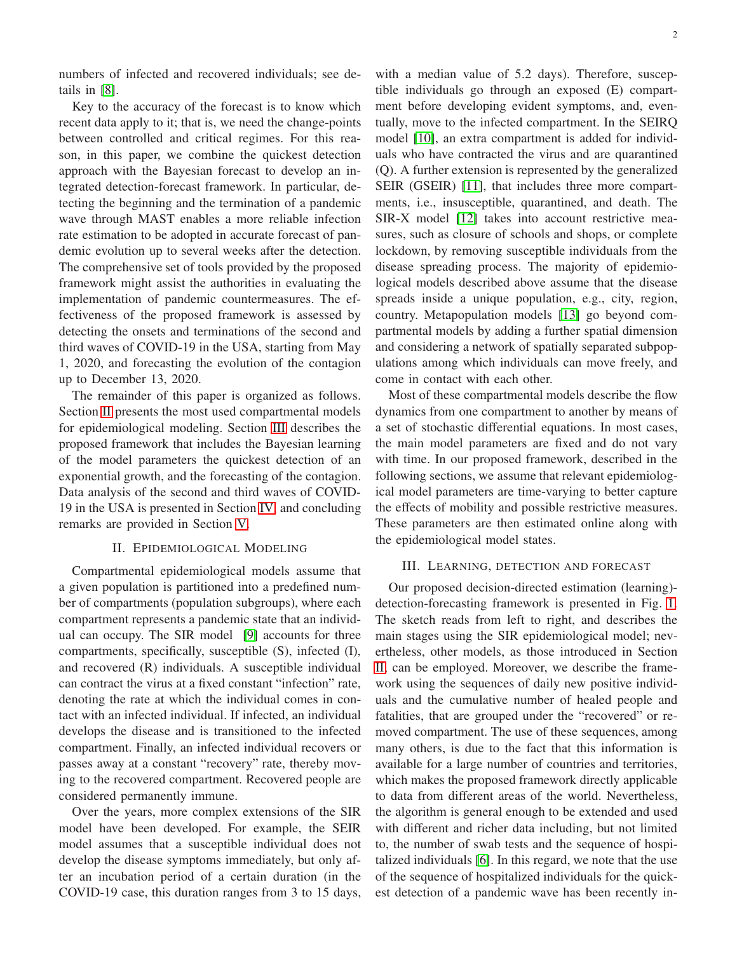numbers of infected and recovered individuals; see details in [\[8\]](#page-6-7).

Key to the accuracy of the forecast is to know which recent data apply to it; that is, we need the change-points between controlled and critical regimes. For this reason, in this paper, we combine the quickest detection approach with the Bayesian forecast to develop an integrated detection-forecast framework. In particular, detecting the beginning and the termination of a pandemic wave through MAST enables a more reliable infection rate estimation to be adopted in accurate forecast of pandemic evolution up to several weeks after the detection. The comprehensive set of tools provided by the proposed framework might assist the authorities in evaluating the implementation of pandemic countermeasures. The effectiveness of the proposed framework is assessed by detecting the onsets and terminations of the second and third waves of COVID-19 in the USA, starting from May 1, 2020, and forecasting the evolution of the contagion up to December 13, 2020.

The remainder of this paper is organized as follows. Section [II](#page-1-0) presents the most used compartmental models for epidemiological modeling. Section [III](#page-1-1) describes the proposed framework that includes the Bayesian learning of the model parameters the quickest detection of an exponential growth, and the forecasting of the contagion. Data analysis of the second and third waves of COVID-19 in the USA is presented in Section [IV,](#page-4-0) and concluding remarks are provided in Section [V.](#page-6-8)

# II. EPIDEMIOLOGICAL MODELING

<span id="page-1-0"></span>Compartmental epidemiological models assume that a given population is partitioned into a predefined number of compartments (population subgroups), where each compartment represents a pandemic state that an individual can occupy. The SIR model [\[9\]](#page-6-9) accounts for three compartments, specifically, susceptible (S), infected (I), and recovered (R) individuals. A susceptible individual can contract the virus at a fixed constant "infection" rate, denoting the rate at which the individual comes in contact with an infected individual. If infected, an individual develops the disease and is transitioned to the infected compartment. Finally, an infected individual recovers or passes away at a constant "recovery" rate, thereby moving to the recovered compartment. Recovered people are considered permanently immune.

Over the years, more complex extensions of the SIR model have been developed. For example, the SEIR model assumes that a susceptible individual does not develop the disease symptoms immediately, but only after an incubation period of a certain duration (in the COVID-19 case, this duration ranges from 3 to 15 days,

with a median value of 5.2 days). Therefore, susceptible individuals go through an exposed (E) compartment before developing evident symptoms, and, eventually, move to the infected compartment. In the SEIRQ model [\[10\]](#page-6-10), an extra compartment is added for individuals who have contracted the virus and are quarantined (Q). A further extension is represented by the generalized SEIR (GSEIR) [\[11\]](#page-6-11), that includes three more compartments, i.e., insusceptible, quarantined, and death. The SIR-X model [\[12\]](#page-6-12) takes into account restrictive measures, such as closure of schools and shops, or complete lockdown, by removing susceptible individuals from the disease spreading process. The majority of epidemiological models described above assume that the disease spreads inside a unique population, e.g., city, region, country. Metapopulation models [\[13\]](#page-6-13) go beyond compartmental models by adding a further spatial dimension and considering a network of spatially separated subpopulations among which individuals can move freely, and come in contact with each other.

Most of these compartmental models describe the flow dynamics from one compartment to another by means of a set of stochastic differential equations. In most cases, the main model parameters are fixed and do not vary with time. In our proposed framework, described in the following sections, we assume that relevant epidemiological model parameters are time-varying to better capture the effects of mobility and possible restrictive measures. These parameters are then estimated online along with the epidemiological model states.

#### <span id="page-1-1"></span>III. LEARNING, DETECTION AND FORECAST

Our proposed decision-directed estimation (learning) detection-forecasting framework is presented in Fig. [1.](#page-2-0) The sketch reads from left to right, and describes the main stages using the SIR epidemiological model; nevertheless, other models, as those introduced in Section [II,](#page-1-0) can be employed. Moreover, we describe the framework using the sequences of daily new positive individuals and the cumulative number of healed people and fatalities, that are grouped under the "recovered" or removed compartment. The use of these sequences, among many others, is due to the fact that this information is available for a large number of countries and territories, which makes the proposed framework directly applicable to data from different areas of the world. Nevertheless, the algorithm is general enough to be extended and used with different and richer data including, but not limited to, the number of swab tests and the sequence of hospitalized individuals [\[6\]](#page-6-5). In this regard, we note that the use of the sequence of hospitalized individuals for the quickest detection of a pandemic wave has been recently in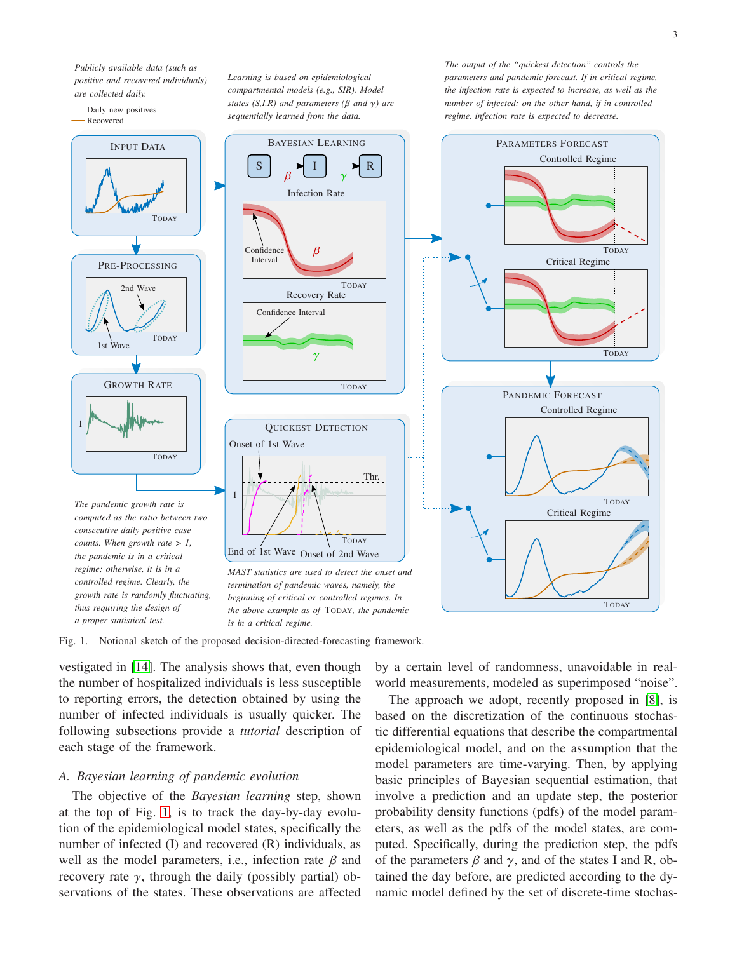*Publicly available data (such as positive and recovered individuals) are collected daily.*

*Learning is based on epidemiological compartmental models (e.g., SIR). Model states (S,I,R) and parameters (* $\beta$  *and*  $\gamma$ *) are*  *The output of the "quickest detection" controls the parameters and pandemic forecast. If in critical regime, the infection rate is expected to increase, as well as the number of infected; on the other hand, if in controlled*



Fig. 1. Notional sketch of the proposed decision-directed-forecasting framework.

<span id="page-2-0"></span>vestigated in [\[14\]](#page-6-14). The analysis shows that, even though the number of hospitalized individuals is less susceptible to reporting errors, the detection obtained by using the number of infected individuals is usually quicker. The following subsections provide a *tutorial* description of each stage of the framework.

#### *A. Bayesian learning of pandemic evolution*

The objective of the *Bayesian learning* step, shown at the top of Fig. [1,](#page-2-0) is to track the day-by-day evolution of the epidemiological model states, specifically the number of infected (I) and recovered (R) individuals, as well as the model parameters, i.e., infection rate  $\beta$  and recovery rate  $\gamma$ , through the daily (possibly partial) observations of the states. These observations are affected by a certain level of randomness, unavoidable in realworld measurements, modeled as superimposed "noise".

The approach we adopt, recently proposed in [\[8\]](#page-6-7), is based on the discretization of the continuous stochastic differential equations that describe the compartmental epidemiological model, and on the assumption that the model parameters are time-varying. Then, by applying basic principles of Bayesian sequential estimation, that involve a prediction and an update step, the posterior probability density functions (pdfs) of the model parameters, as well as the pdfs of the model states, are computed. Specifically, during the prediction step, the pdfs of the parameters  $\beta$  and  $\gamma$ , and of the states I and R, obtained the day before, are predicted according to the dynamic model defined by the set of discrete-time stochas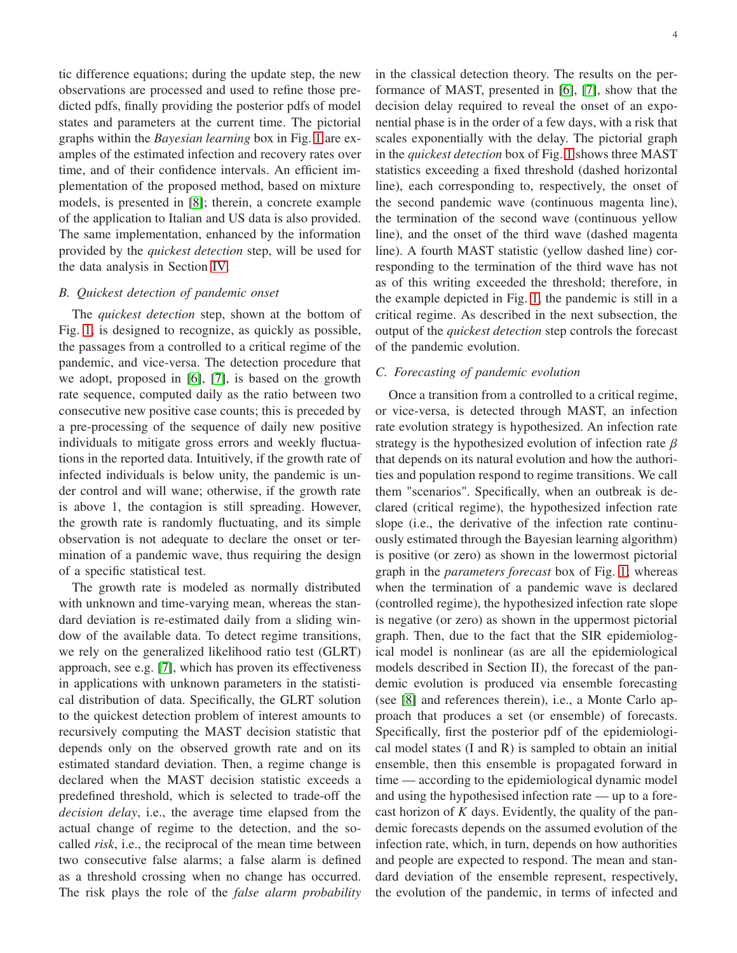tic difference equations; during the update step, the new observations are processed and used to refine those predicted pdfs, finally providing the posterior pdfs of model states and parameters at the current time. The pictorial graphs within the *Bayesian learning* box in Fig. [1](#page-2-0) are examples of the estimated infection and recovery rates over time, and of their confidence intervals. An efficient implementation of the proposed method, based on mixture models, is presented in [\[8\]](#page-6-7); therein, a concrete example of the application to Italian and US data is also provided. The same implementation, enhanced by the information provided by the *quickest detection* step, will be used for the data analysis in Section [IV.](#page-4-0)

# *B. Quickest detection of pandemic onset*

The *quickest detection* step, shown at the bottom of Fig. [1,](#page-2-0) is designed to recognize, as quickly as possible, the passages from a controlled to a critical regime of the pandemic, and vice-versa. The detection procedure that we adopt, proposed in [\[6\]](#page-6-5), [\[7\]](#page-6-6), is based on the growth rate sequence, computed daily as the ratio between two consecutive new positive case counts; this is preceded by a pre-processing of the sequence of daily new positive individuals to mitigate gross errors and weekly fluctuations in the reported data. Intuitively, if the growth rate of infected individuals is below unity, the pandemic is under control and will wane; otherwise, if the growth rate is above 1, the contagion is still spreading. However, the growth rate is randomly fluctuating, and its simple observation is not adequate to declare the onset or termination of a pandemic wave, thus requiring the design of a specific statistical test.

The growth rate is modeled as normally distributed with unknown and time-varying mean, whereas the standard deviation is re-estimated daily from a sliding window of the available data. To detect regime transitions, we rely on the generalized likelihood ratio test (GLRT) approach, see e.g. [\[7\]](#page-6-6), which has proven its effectiveness in applications with unknown parameters in the statistical distribution of data. Specifically, the GLRT solution to the quickest detection problem of interest amounts to recursively computing the MAST decision statistic that depends only on the observed growth rate and on its estimated standard deviation. Then, a regime change is declared when the MAST decision statistic exceeds a predefined threshold, which is selected to trade-off the *decision delay*, i.e., the average time elapsed from the actual change of regime to the detection, and the socalled *risk*, i.e., the reciprocal of the mean time between two consecutive false alarms; a false alarm is defined as a threshold crossing when no change has occurred. The risk plays the role of the *false alarm probability*

in the classical detection theory. The results on the performance of MAST, presented in [\[6\]](#page-6-5), [\[7\]](#page-6-6), show that the decision delay required to reveal the onset of an exponential phase is in the order of a few days, with a risk that scales exponentially with the delay. The pictorial graph in the *quickest detection* box of Fig. [1](#page-2-0) shows three MAST statistics exceeding a fixed threshold (dashed horizontal line), each corresponding to, respectively, the onset of the second pandemic wave (continuous magenta line), the termination of the second wave (continuous yellow line), and the onset of the third wave (dashed magenta line). A fourth MAST statistic (yellow dashed line) corresponding to the termination of the third wave has not as of this writing exceeded the threshold; therefore, in the example depicted in Fig. [1,](#page-2-0) the pandemic is still in a critical regime. As described in the next subsection, the output of the *quickest detection* step controls the forecast of the pandemic evolution.

# *C. Forecasting of pandemic evolution*

Once a transition from a controlled to a critical regime, or vice-versa, is detected through MAST, an infection rate evolution strategy is hypothesized. An infection rate strategy is the hypothesized evolution of infection rate  $\beta$ that depends on its natural evolution and how the authorities and population respond to regime transitions. We call them "scenarios". Specifically, when an outbreak is declared (critical regime), the hypothesized infection rate slope (i.e., the derivative of the infection rate continuously estimated through the Bayesian learning algorithm) is positive (or zero) as shown in the lowermost pictorial graph in the *parameters forecast* box of Fig. [1;](#page-2-0) whereas when the termination of a pandemic wave is declared (controlled regime), the hypothesized infection rate slope is negative (or zero) as shown in the uppermost pictorial graph. Then, due to the fact that the SIR epidemiological model is nonlinear (as are all the epidemiological models described in Section II), the forecast of the pandemic evolution is produced via ensemble forecasting (see [\[8\]](#page-6-7) and references therein), i.e., a Monte Carlo approach that produces a set (or ensemble) of forecasts. Specifically, first the posterior pdf of the epidemiological model states (I and R) is sampled to obtain an initial ensemble, then this ensemble is propagated forward in time — according to the epidemiological dynamic model and using the hypothesised infection rate — up to a forecast horizon of  $K$  days. Evidently, the quality of the pandemic forecasts depends on the assumed evolution of the infection rate, which, in turn, depends on how authorities and people are expected to respond. The mean and standard deviation of the ensemble represent, respectively, the evolution of the pandemic, in terms of infected and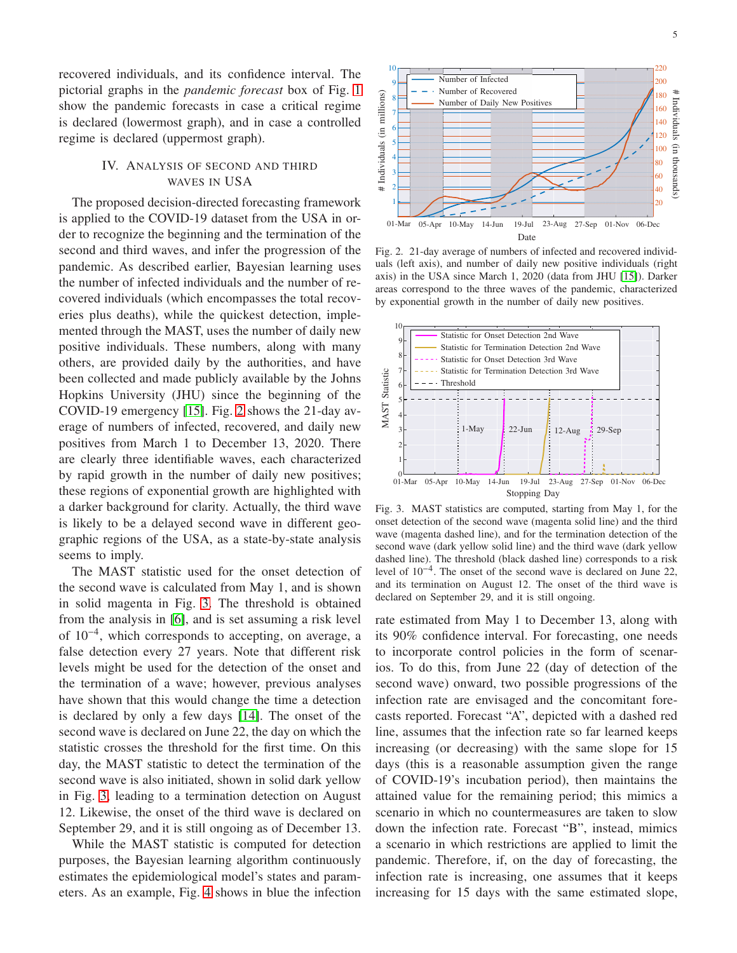recovered individuals, and its confidence interval. The pictorial graphs in the *pandemic forecast* box of Fig. [1](#page-2-0) show the pandemic forecasts in case a critical regime is declared (lowermost graph), and in case a controlled regime is declared (uppermost graph).

# <span id="page-4-0"></span>IV. ANALYSIS OF SECOND AND THIRD WAVES IN USA

The proposed decision-directed forecasting framework is applied to the COVID-19 dataset from the USA in order to recognize the beginning and the termination of the second and third waves, and infer the progression of the pandemic. As described earlier, Bayesian learning uses the number of infected individuals and the number of recovered individuals (which encompasses the total recoveries plus deaths), while the quickest detection, implemented through the MAST, uses the number of daily new positive individuals. These numbers, along with many others, are provided daily by the authorities, and have been collected and made publicly available by the Johns Hopkins University (JHU) since the beginning of the COVID-19 emergency [\[15\]](#page-6-15). Fig. [2](#page-4-1) shows the 21-day average of numbers of infected, recovered, and daily new positives from March 1 to December 13, 2020. There are clearly three identifiable waves, each characterized by rapid growth in the number of daily new positives; these regions of exponential growth are highlighted with a darker background for clarity. Actually, the third wave is likely to be a delayed second wave in different geographic regions of the USA, as a state-by-state analysis seems to imply.

The MAST statistic used for the onset detection of the second wave is calculated from May 1, and is shown in solid magenta in Fig. [3.](#page-4-2) The threshold is obtained from the analysis in [\[6\]](#page-6-5), and is set assuming a risk level of 10−<sup>4</sup> , which corresponds to accepting, on average, a false detection every 27 years. Note that different risk levels might be used for the detection of the onset and the termination of a wave; however, previous analyses have shown that this would change the time a detection is declared by only a few days [\[14\]](#page-6-14). The onset of the second wave is declared on June 22, the day on which the statistic crosses the threshold for the first time. On this day, the MAST statistic to detect the termination of the second wave is also initiated, shown in solid dark yellow in Fig. [3,](#page-4-2) leading to a termination detection on August 12. Likewise, the onset of the third wave is declared on September 29, and it is still ongoing as of December 13.

While the MAST statistic is computed for detection purposes, the Bayesian learning algorithm continuously estimates the epidemiological model's states and parameters. As an example, Fig. [4](#page-5-0) shows in blue the infection



<span id="page-4-1"></span>Fig. 2. 21-day average of numbers of infected and recovered individuals (left axis), and number of daily new positive individuals (right axis) in the USA since March 1, 2020 (data from JHU [\[15\]](#page-6-15)). Darker areas correspond to the three waves of the pandemic, characterized by exponential growth in the number of daily new positives.



<span id="page-4-2"></span>Fig. 3. MAST statistics are computed, starting from May 1, for the onset detection of the second wave (magenta solid line) and the third wave (magenta dashed line), and for the termination detection of the second wave (dark yellow solid line) and the third wave (dark yellow dashed line). The threshold (black dashed line) corresponds to a risk level of 10−<sup>4</sup> . The onset of the second wave is declared on June 22, and its termination on August 12. The onset of the third wave is declared on September 29, and it is still ongoing.

rate estimated from May 1 to December 13, along with its 90% confidence interval. For forecasting, one needs to incorporate control policies in the form of scenarios. To do this, from June 22 (day of detection of the second wave) onward, two possible progressions of the infection rate are envisaged and the concomitant forecasts reported. Forecast "A", depicted with a dashed red line, assumes that the infection rate so far learned keeps increasing (or decreasing) with the same slope for 15 days (this is a reasonable assumption given the range of COVID-19's incubation period), then maintains the attained value for the remaining period; this mimics a scenario in which no countermeasures are taken to slow down the infection rate. Forecast "B", instead, mimics a scenario in which restrictions are applied to limit the pandemic. Therefore, if, on the day of forecasting, the infection rate is increasing, one assumes that it keeps increasing for 15 days with the same estimated slope,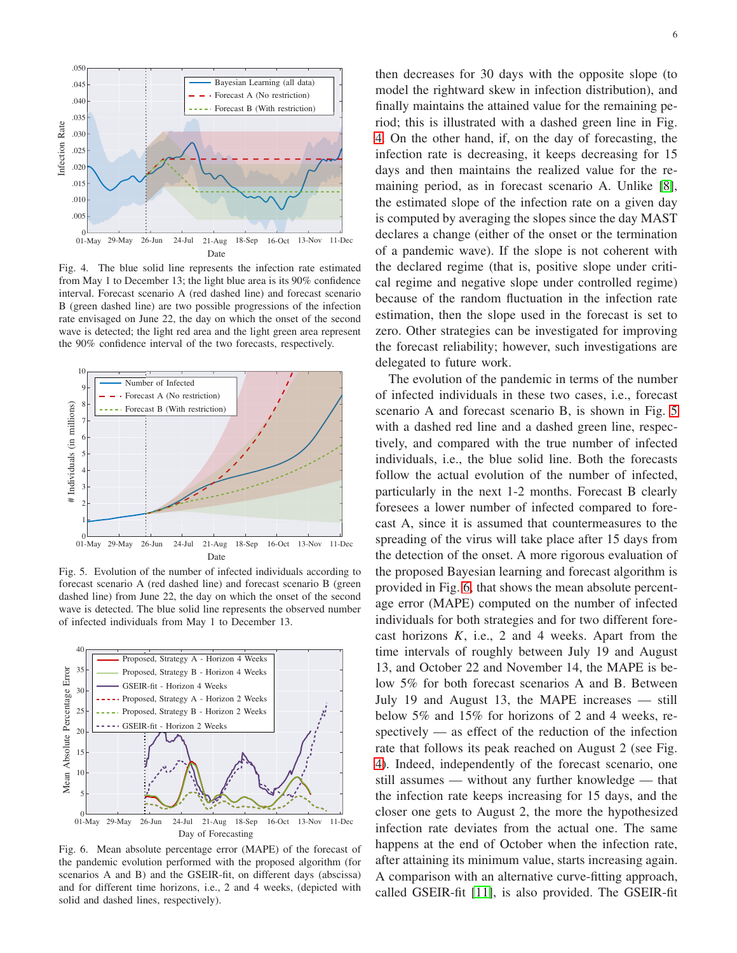

Fig. 4. The blue solid line represents the infection rate estimated from May 1 to December 13; the light blue area is its 90% confidence interval. Forecast scenario A (red dashed line) and forecast scenario B (green dashed line) are two possible progressions of the infection rate envisaged on June 22, the day on which the onset of the second g replacements is detected; the light red area and the light green area represent the 90% confidence interval of the two forecasts, respectively.

<span id="page-5-0"></span>

<span id="page-5-1"></span>Fig. 5. Evolution of the number of infected individuals according to forecast scenario A (red dashed line) and forecast scenario B (green dashed line) from June 22, the day on which the onset of the second wave is detected. The blue solid line represents the observed number of infected individuals from May 1 to December 13.



<span id="page-5-2"></span>Fig. 6. Mean absolute percentage error (MAPE) of the forecast of the pandemic evolution performed with the proposed algorithm (for scenarios A and B) and the GSEIR-fit, on different days (abscissa) and for different time horizons, i.e., 2 and 4 weeks, (depicted with solid and dashed lines, respectively).

then decreases for 30 days with the opposite slope (to model the rightward skew in infection distribution), and finally maintains the attained value for the remaining period; this is illustrated with a dashed green line in Fig. [4.](#page-5-0) On the other hand, if, on the day of forecasting, the infection rate is decreasing, it keeps decreasing for 15 days and then maintains the realized value for the remaining period, as in forecast scenario A. Unlike [\[8\]](#page-6-7), the estimated slope of the infection rate on a given day is computed by averaging the slopes since the day MAST declares a change (either of the onset or the termination of a pandemic wave). If the slope is not coherent with the declared regime (that is, positive slope under critical regime and negative slope under controlled regime) because of the random fluctuation in the infection rate estimation, then the slope used in the forecast is set to zero. Other strategies can be investigated for improving the forecast reliability; however, such investigations are delegated to future work.

The evolution of the pandemic in terms of the number of infected individuals in these two cases, i.e., forecast scenario A and forecast scenario B, is shown in Fig. [5](#page-5-1) with a dashed red line and a dashed green line, respectively, and compared with the true number of infected individuals, i.e., the blue solid line. Both the forecasts follow the actual evolution of the number of infected, particularly in the next 1-2 months. Forecast B clearly foresees a lower number of infected compared to forecast A, since it is assumed that countermeasures to the spreading of the virus will take place after 15 days from the detection of the onset. A more rigorous evaluation of the proposed Bayesian learning and forecast algorithm is provided in Fig. [6,](#page-5-2) that shows the mean absolute percentage error (MAPE) computed on the number of infected individuals for both strategies and for two different forecast horizons  $K$ , i.e., 2 and 4 weeks. Apart from the time intervals of roughly between July 19 and August 13, and October 22 and November 14, the MAPE is below 5% for both forecast scenarios A and B. Between July 19 and August 13, the MAPE increases — still below 5% and 15% for horizons of 2 and 4 weeks, respectively — as effect of the reduction of the infection rate that follows its peak reached on August 2 (see Fig. [4\)](#page-5-0). Indeed, independently of the forecast scenario, one still assumes — without any further knowledge — that the infection rate keeps increasing for 15 days, and the closer one gets to August 2, the more the hypothesized infection rate deviates from the actual one. The same happens at the end of October when the infection rate, after attaining its minimum value, starts increasing again. A comparison with an alternative curve-fitting approach, called GSEIR-fit [\[11\]](#page-6-11), is also provided. The GSEIR-fit